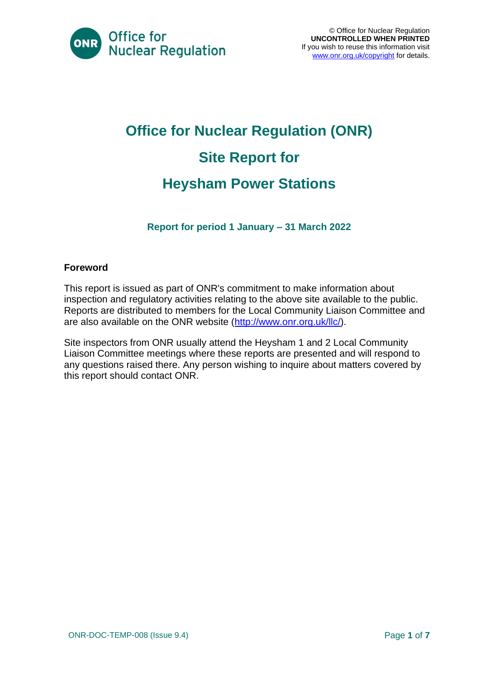

# **Office for Nuclear Regulation (ONR) Site Report for Heysham Power Stations**

**Report for period 1 January – 31 March 2022**

### **Foreword**

This report is issued as part of ONR's commitment to make information about inspection and regulatory activities relating to the above site available to the public. Reports are distributed to members for the Local Community Liaison Committee and are also available on the ONR website [\(http://www.onr.org.uk/llc/\)](http://www.onr.org.uk/llc/).

Site inspectors from ONR usually attend the Heysham 1 and 2 Local Community Liaison Committee meetings where these reports are presented and will respond to any questions raised there. Any person wishing to inquire about matters covered by this report should contact ONR.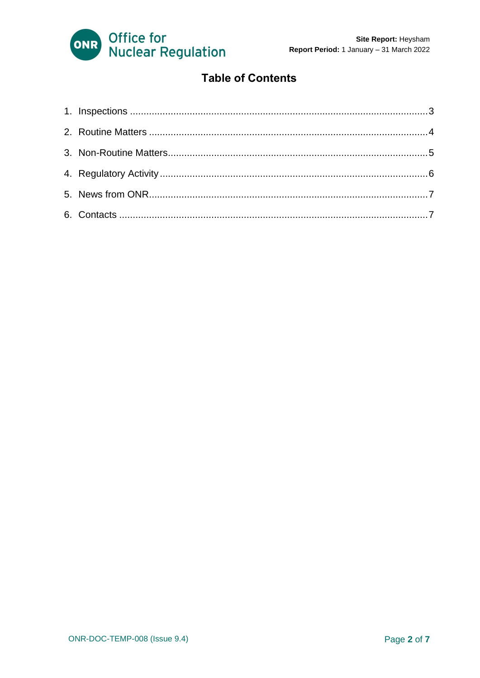

### **Table of Contents**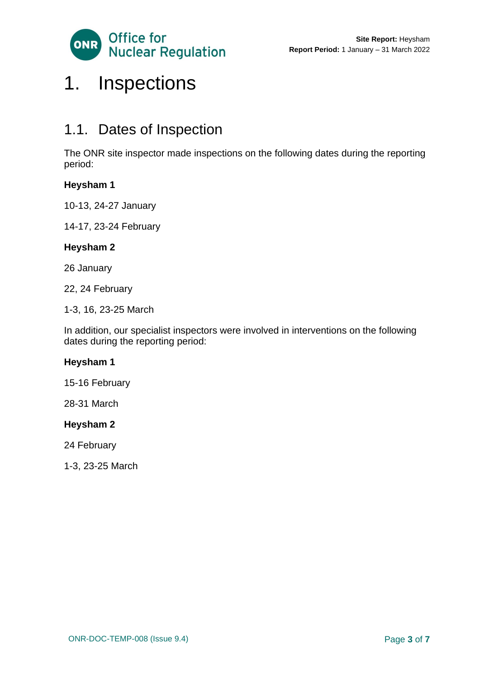

## <span id="page-2-0"></span>1. Inspections

### 1.1. Dates of Inspection

The ONR site inspector made inspections on the following dates during the reporting period:

### **Heysham 1**

10-13, 24-27 January

14-17, 23-24 February

#### **Heysham 2**

26 January

22, 24 February

1-3, 16, 23-25 March

In addition, our specialist inspectors were involved in interventions on the following dates during the reporting period:

#### **Heysham 1**

15-16 February

28-31 March

#### **Heysham 2**

24 February

1-3, 23-25 March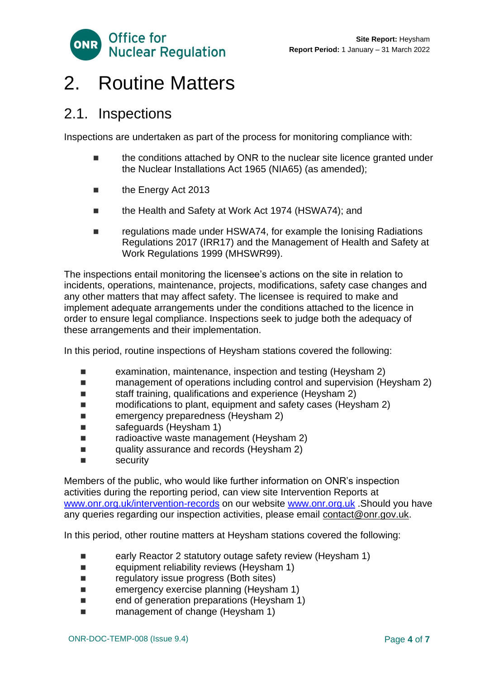

## <span id="page-3-0"></span>2. Routine Matters

### 2.1. Inspections

Inspections are undertaken as part of the process for monitoring compliance with:

- the conditions attached by ONR to the nuclear site licence granted under the Nuclear Installations Act 1965 (NIA65) (as amended);
- the Energy Act 2013
- the Health and Safety at Work Act 1974 (HSWA74); and
- regulations made under HSWA74, for example the Ionising Radiations Regulations 2017 (IRR17) and the Management of Health and Safety at Work Regulations 1999 (MHSWR99).

The inspections entail monitoring the licensee's actions on the site in relation to incidents, operations, maintenance, projects, modifications, safety case changes and any other matters that may affect safety. The licensee is required to make and implement adequate arrangements under the conditions attached to the licence in order to ensure legal compliance. Inspections seek to judge both the adequacy of these arrangements and their implementation.

In this period, routine inspections of Heysham stations covered the following:

- examination, maintenance, inspection and testing (Heysham 2)
- management of operations including control and supervision (Heysham 2)
- staff training, qualifications and experience (Heysham 2)
- modifications to plant, equipment and safety cases (Heysham 2)
- emergency preparedness (Heysham 2)
- safeguards (Heysham 1)
- radioactive waste management (Heysham 2)
- quality assurance and records (Heysham 2)
- security

Members of the public, who would like further information on ONR's inspection activities during the reporting period, can view site Intervention Reports at [www.onr.org.uk/intervention-records](http://www.onr.org.uk./intervention-records) on our website [www.onr.org.uk](http://www.onr.org.uk/) .Should you have any queries regarding our inspection activities, please email [contact@onr.gov.uk.](mailto:contact@onr.gov.uk)

In this period, other routine matters at Heysham stations covered the following:

- early Reactor 2 statutory outage safety review (Heysham 1)
- equipment reliability reviews (Heysham 1)
- regulatory issue progress (Both sites)
- emergency exercise planning (Heysham 1)
- end of generation preparations (Heysham 1)
- management of change (Heysham 1)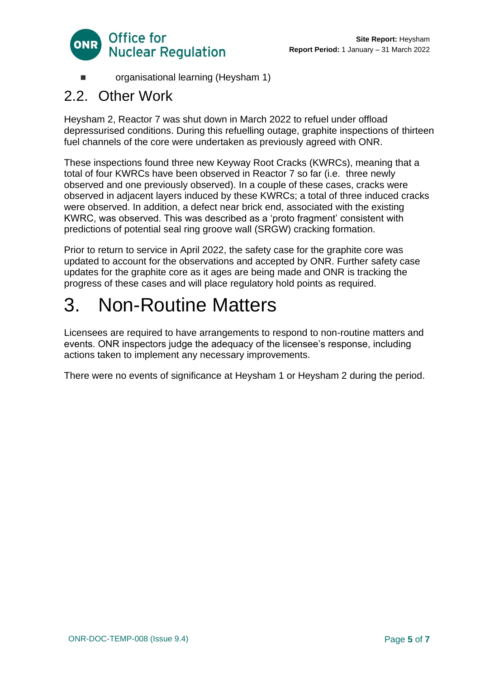

organisational learning (Heysham 1)

### 2.2. Other Work

<span id="page-4-0"></span>Heysham 2, Reactor 7 was shut down in March 2022 to refuel under offload depressurised conditions. During this refuelling outage, graphite inspections of thirteen fuel channels of the core were undertaken as previously agreed with ONR.

These inspections found three new Keyway Root Cracks (KWRCs), meaning that a total of four KWRCs have been observed in Reactor 7 so far (i.e. three newly observed and one previously observed). In a couple of these cases, cracks were observed in adjacent layers induced by these KWRCs; a total of three induced cracks were observed. In addition, a defect near brick end, associated with the existing KWRC, was observed. This was described as a 'proto fragment' consistent with predictions of potential seal ring groove wall (SRGW) cracking formation.

Prior to return to service in April 2022, the safety case for the graphite core was updated to account for the observations and accepted by ONR. Further safety case updates for the graphite core as it ages are being made and ONR is tracking the progress of these cases and will place regulatory hold points as required.

# 3. Non-Routine Matters

Licensees are required to have arrangements to respond to non-routine matters and events. ONR inspectors judge the adequacy of the licensee's response, including actions taken to implement any necessary improvements.

There were no events of significance at Heysham 1 or Heysham 2 during the period.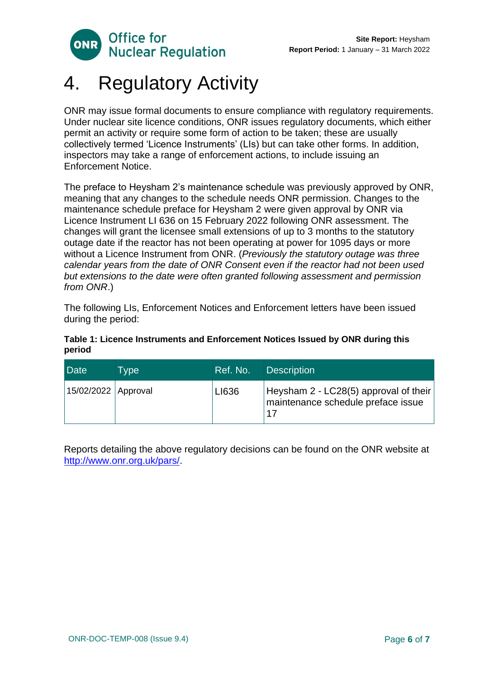

## <span id="page-5-0"></span>4. Regulatory Activity

ONR may issue formal documents to ensure compliance with regulatory requirements. Under nuclear site licence conditions, ONR issues regulatory documents, which either permit an activity or require some form of action to be taken; these are usually collectively termed 'Licence Instruments' (LIs) but can take other forms. In addition, inspectors may take a range of enforcement actions, to include issuing an Enforcement Notice.

The preface to Heysham 2's maintenance schedule was previously approved by ONR, meaning that any changes to the schedule needs ONR permission. Changes to the maintenance schedule preface for Heysham 2 were given approval by ONR via Licence Instrument LI 636 on 15 February 2022 following ONR assessment. The changes will grant the licensee small extensions of up to 3 months to the statutory outage date if the reactor has not been operating at power for 1095 days or more without a Licence Instrument from ONR. (*Previously the statutory outage was three calendar years from the date of ONR Consent even if the reactor had not been used but extensions to the date were often granted following assessment and permission from ONR*.)

The following LIs, Enforcement Notices and Enforcement letters have been issued during the period:

| Date                | Type <sup>1</sup> | Ref. No. | <b>Description</b>                                                          |
|---------------------|-------------------|----------|-----------------------------------------------------------------------------|
| 15/02/2022 Approval |                   | LI636    | Heysham 2 - LC28(5) approval of their<br>maintenance schedule preface issue |

#### **Table 1: Licence Instruments and Enforcement Notices Issued by ONR during this period**

Reports detailing the above regulatory decisions can be found on the ONR website at [http://www.onr.org.uk/pars/.](http://www.onr.org.uk/pars/)